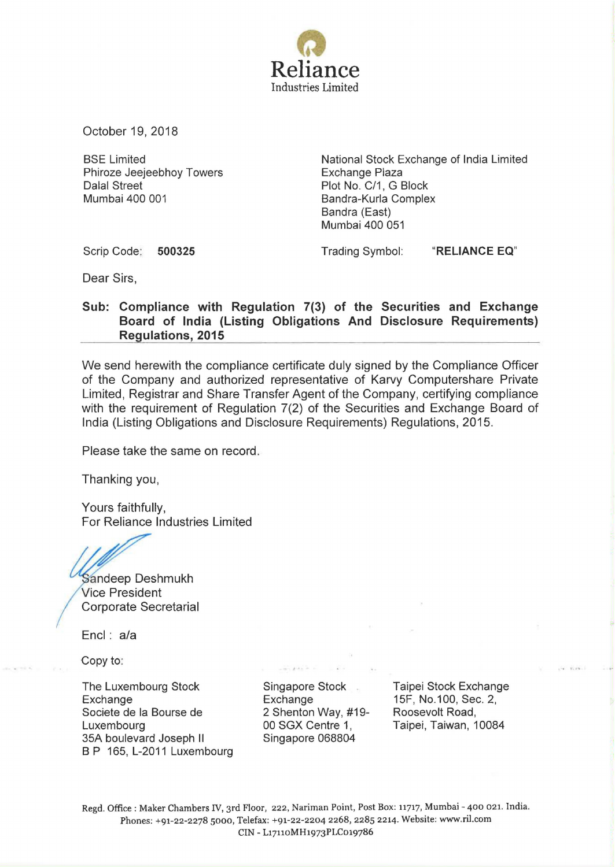

October 19, 2018

BSE Limited Phiroze Jeejeebhoy Towers Dalal Street Mumbai 400 001

National Stock Exchange of India Limited Exchange Plaza Plot No. C/1, G Block Bandra-Kurla Complex Sandra (East) Mumbai 400 051

Scrip Code: **500325** 

Trading Symbol: **"RELIANCE EQ"** 

Dear Sirs,

## **Sub: Compliance with Regulation 7(3) of the Securities and Exchange Board of India (Listing Obligations And Disclosure Requirements) Regulations, 2015**

We send herewith the compliance certificate duly signed by the Compliance Officer of the Company and authorized representative of Karvy Computershare Private Limited, Registrar and Share Transfer Agent of the Company, certifying compliance with the requirement of Regulation 7(2) of the Securities and Exchange Board of India (Listing Obligations and Disclosure Requirements) Regulations, 2015.

Please take the same on record.

Thanking you,

Yours faithfully, For Reliance Industries Limited

Sandeep Deshmukh Vice President Corporate Secretarial

Encl : a/a

Copy to:

The Luxembourg Stock **Exchange** Societe de Ia Bourse de Luxembourg 35A boulevard Joseph II B P 165, L-2011 Luxembourg Singapore Stock **Exchange** 2 Shenton Way, #19- 00 SGX Centre 1, Singapore 068804

Taipei Stock Exchange 15F, No.1 00, Sec. 2, Roosevolt Road, Taipei, Taiwan, 10084

Regd. Office : Maker Chambers IV, 3rd Floor, 222, Nariman Point, Post Box: 11717, Mumbai - 400 021. India. Phones: +91-22-2278 sooo, Telefax: +91-22-2204 2268, 2285 2214. Website: www.ril.com CIN- L17110MH1973PLCo19786